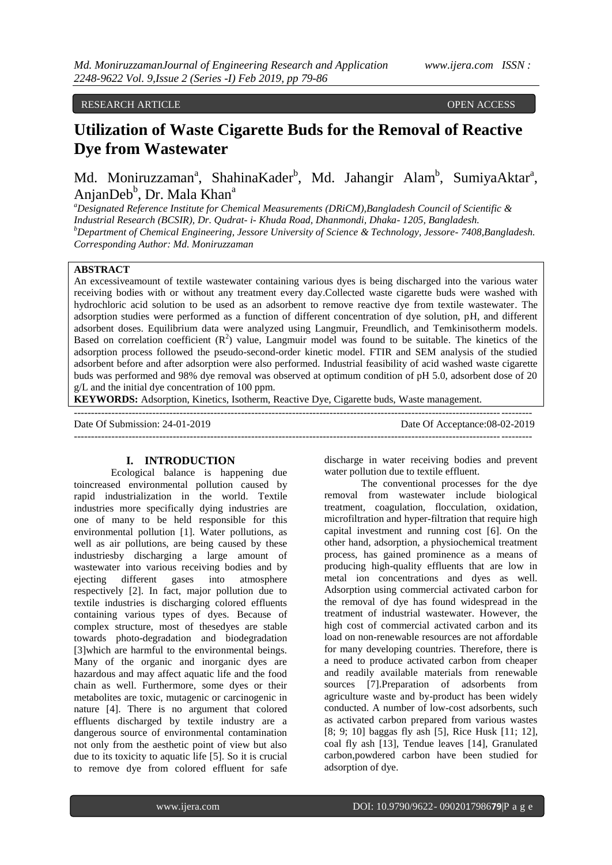RESEARCH ARTICLE **CONSERVERS** OPEN ACCESS OPEN ACCESS

# **Utilization of Waste Cigarette Buds for the Removal of Reactive Dye from Wastewater**

Md. Moniruzzaman<sup>a</sup>, ShahinaKader<sup>b</sup>, Md. Jahangir Alam<sup>b</sup>, SumiyaAktar<sup>a</sup>, AnjanDeb<sup>b</sup>, Dr. Mala Khan<sup>a</sup>

*<sup>a</sup>Designated Reference Institute for Chemical Measurements (DRiCM),Bangladesh Council of Scientific & Industrial Research (BCSIR), Dr. Qudrat- i- Khuda Road, Dhanmondi, Dhaka- 1205, Bangladesh. <sup>b</sup>Department of Chemical Engineering, Jessore University of Science & Technology, Jessore- 7408,Bangladesh. Corresponding Author: Md. Moniruzzaman*

# **ABSTRACT**

An excessiveamount of textile wastewater containing various dyes is being discharged into the various water receiving bodies with or without any treatment every day.Collected waste cigarette buds were washed with hydrochloric acid solution to be used as an adsorbent to remove reactive dye from textile wastewater. The adsorption studies were performed as a function of different concentration of dye solution, pH, and different adsorbent doses. Equilibrium data were analyzed using Langmuir, Freundlich, and Temkinisotherm models. Based on correlation coefficient  $(R^2)$  value, Langmuir model was found to be suitable. The kinetics of the adsorption process followed the pseudo-second-order kinetic model. FTIR and SEM analysis of the studied adsorbent before and after adsorption were also performed. Industrial feasibility of acid washed waste cigarette buds was performed and 98% dye removal was observed at optimum condition of pH 5.0, adsorbent dose of 20 g/L and the initial dye concentration of 100 ppm.

**KEYWORDS:** Adsorption, Kinetics, Isotherm, Reactive Dye, Cigarette buds, Waste management.

--------------------------------------------------------------------------------------------------------------------------------------

--------------------------------------------------------------------------------------------------------------------------------------

Date Of Submission: 24-01-2019 Date Of Acceptance:08-02-2019

## **I. INTRODUCTION**

Ecological balance is happening due toincreased environmental pollution caused by rapid industrialization in the world. Textile industries more specifically dying industries are one of many to be held responsible for this environmental pollution [1]. Water pollutions, as well as air pollutions, are being caused by these industriesby discharging a large amount of wastewater into various receiving bodies and by ejecting different gases into atmosphere respectively [2]. In fact, major pollution due to textile industries is discharging colored effluents containing various types of dyes. Because of complex structure, most of thesedyes are stable towards photo-degradation and biodegradation [3]which are harmful to the environmental beings. Many of the organic and inorganic dyes are hazardous and may affect aquatic life and the food chain as well. Furthermore, some dyes or their metabolites are toxic, mutagenic or carcinogenic in nature [4]. There is no argument that colored effluents discharged by textile industry are a dangerous source of environmental contamination not only from the aesthetic point of view but also due to its toxicity to aquatic life [5]. So it is crucial to remove dye from colored effluent for safe

discharge in water receiving bodies and prevent water pollution due to textile effluent.

The conventional processes for the dye removal from wastewater include biological treatment, coagulation, flocculation, oxidation, microfiltration and hyper-filtration that require high capital investment and running cost [6]. On the other hand, adsorption, a physiochemical treatment process, has gained prominence as a means of producing high-quality effluents that are low in metal ion concentrations and dyes as well. Adsorption using commercial activated carbon for the removal of dye has found widespread in the treatment of industrial wastewater. However, the high cost of commercial activated carbon and its load on non-renewable resources are not affordable for many developing countries. Therefore, there is a need to produce activated carbon from cheaper and readily available materials from renewable sources [7].Preparation of adsorbents from agriculture waste and by-product has been widely conducted. A number of low-cost adsorbents, such as activated carbon prepared from various wastes [8; 9; 10] baggas fly ash [5], Rice Husk [11; 12], coal fly ash [13], Tendue leaves [14], Granulated carbon,powdered carbon have been studied for adsorption of dye.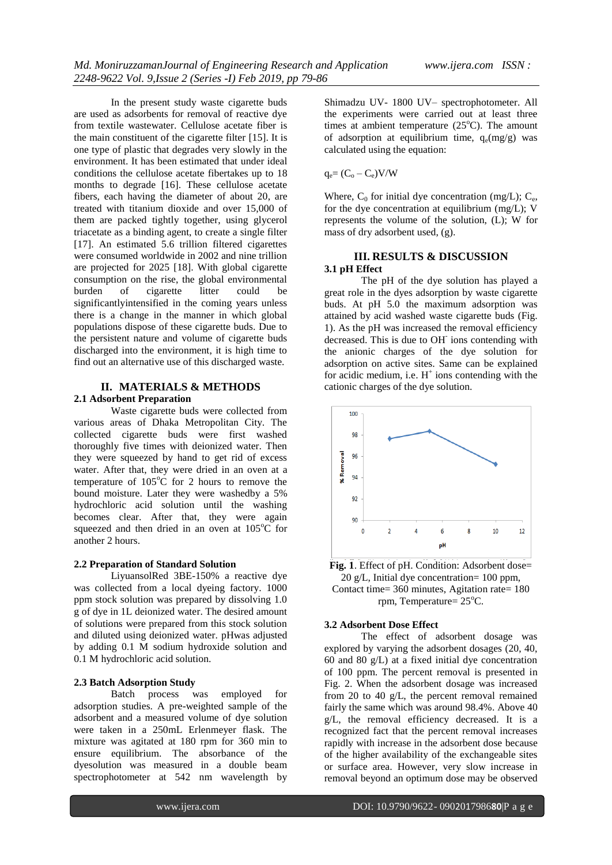In the present study waste cigarette buds are used as adsorbents for removal of reactive dye from textile wastewater. Cellulose acetate fiber is the main constituent of the cigarette filter [15]. It is one type of plastic that degrades very slowly in the environment. It has been estimated that under ideal conditions the cellulose acetate fibertakes up to 18 months to degrade [16]. These cellulose acetate fibers, each having the diameter of about 20, are treated with titanium dioxide and over 15,000 of them are packed tightly together, using glycerol triacetate as a binding agent, to create a single filter [17]. An estimated 5.6 trillion filtered cigarettes were consumed worldwide in 2002 and nine trillion are projected for 2025 [18]. With global cigarette consumption on the rise, the global environmental burden of cigarette litter could be significantlyintensified in the coming years unless there is a change in the manner in which global populations dispose of these cigarette buds. Due to the persistent nature and volume of cigarette buds discharged into the environment, it is high time to find out an alternative use of this discharged waste.

# **II. MATERIALS & METHODS 2.1 Adsorbent Preparation**

Waste cigarette buds were collected from various areas of Dhaka Metropolitan City. The collected cigarette buds were first washed thoroughly five times with deionized water. Then they were squeezed by hand to get rid of excess water. After that, they were dried in an oven at a temperature of  $105^{\circ}$ C for 2 hours to remove the bound moisture. Later they were washedby a 5% hydrochloric acid solution until the washing becomes clear. After that, they were again squeezed and then dried in an oven at  $105^{\circ}$ C for another 2 hours.

## **2.2 Preparation of Standard Solution**

LiyuansolRed 3BE-150% a reactive dye was collected from a local dyeing factory. 1000 ppm stock solution was prepared by dissolving 1.0 g of dye in 1L deionized water. The desired amount of solutions were prepared from this stock solution and diluted using deionized water. pHwas adjusted by adding 0.1 M sodium hydroxide solution and 0.1 M hydrochloric acid solution.

## **2.3 Batch Adsorption Study**

Batch process was employed for adsorption studies. A pre-weighted sample of the adsorbent and a measured volume of dye solution were taken in a 250mL Erlenmeyer flask. The mixture was agitated at 180 rpm for 360 min to ensure equilibrium. The absorbance of the dyesolution was measured in a double beam spectrophotometer at 542 nm wavelength by

Shimadzu UV- 1800 UV– spectrophotometer. All the experiments were carried out at least three times at ambient temperature  $(25^{\circ}C)$ . The amount of adsorption at equilibrium time,  $q_e(mg/g)$  was calculated using the equation:

$$
q_e = (C_o - C_e)V/W
$$

Where,  $C_0$  for initial dye concentration (mg/L);  $C_e$ , for the dye concentration at equilibrium (mg/L); V represents the volume of the solution, (L); W for mass of dry adsorbent used, (g).

## **III. RESULTS & DISCUSSION 3.1 pH Effect**

The pH of the dye solution has played a great role in the dyes adsorption by waste cigarette buds. At pH 5.0 the maximum adsorption was attained by acid washed waste cigarette buds (Fig. 1). As the pH was increased the removal efficiency decreased. This is due to OH ions contending with the anionic charges of the dye solution for adsorption on active sites. Same can be explained for acidic medium, i.e.  $H^+$  ions contending with the cationic charges of the dye solution.



**Fig. 1**. Effect of pH. Condition: Adsorbent dose= 20 g/L, Initial dye concentration= 100 ppm, Contact time= 360 minutes, Agitation rate= 180 rpm, Temperature=  $25^{\circ}$ C.

## **3.2 Adsorbent Dose Effect**

The effect of adsorbent dosage was explored by varying the adsorbent dosages (20, 40, 60 and 80 g/L) at a fixed initial dye concentration of 100 ppm. The percent removal is presented in Fig. 2. When the adsorbent dosage was increased from 20 to 40 g/L, the percent removal remained fairly the same which was around 98.4%. Above 40 g/L, the removal efficiency decreased. It is a recognized fact that the percent removal increases rapidly with increase in the adsorbent dose because of the higher availability of the exchangeable sites or surface area. However, very slow increase in removal beyond an optimum dose may be observed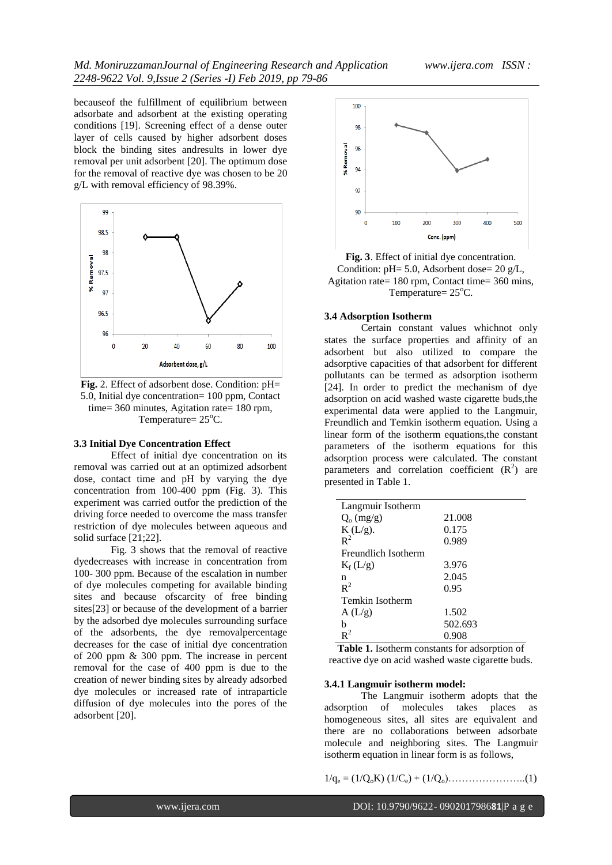becauseof the fulfillment of equilibrium between adsorbate and adsorbent at the existing operating conditions [19]. Screening effect of a dense outer layer of cells caused by higher adsorbent doses block the binding sites andresults in lower dye removal per unit adsorbent [20]. The optimum dose for the removal of reactive dye was chosen to be 20 g/L with removal efficiency of 98.39%.



Fig. 2. Effect of adsorbent dose. Condition: pH= 5.0, Initial dye concentration= 100 ppm, Contact time= 360 minutes, Agitation rate= 180 rpm, Temperature=  $25^{\circ}$ C.

## **3.3 Initial Dye Concentration Effect**

Effect of initial dye concentration on its removal was carried out at an optimized adsorbent dose, contact time and pH by varying the dye concentration from 100-400 ppm (Fig. 3). This experiment was carried outfor the prediction of the driving force needed to overcome the mass transfer restriction of dye molecules between aqueous and solid surface [21;22].

Fig. 3 shows that the removal of reactive dyedecreases with increase in concentration from 100- 300 ppm. Because of the escalation in number of dye molecules competing for available binding sites and because ofscarcity of free binding sites[23] or because of the development of a barrier by the adsorbed dye molecules surrounding surface of the adsorbents, the dye removalpercentage decreases for the case of initial dye concentration of 200 ppm & 300 ppm. The increase in percent removal for the case of 400 ppm is due to the creation of newer binding sites by already adsorbed dye molecules or increased rate of intraparticle diffusion of dye molecules into the pores of the adsorbent [20].



**Fig. 3**. Effect of initial dye concentration. Condition: pH= 5.0, Adsorbent dose= 20 g/L, Agitation rate= 180 rpm, Contact time= 360 mins, Temperature=  $25^{\circ}$ C.

#### **3.4 Adsorption Isotherm**

Certain constant values whichnot only states the surface properties and affinity of an adsorbent but also utilized to compare the adsorptive capacities of that adsorbent for different pollutants can be termed as adsorption isotherm [24]. In order to predict the mechanism of dye adsorption on acid washed waste cigarette buds,the experimental data were applied to the Langmuir, Freundlich and Temkin isotherm equation. Using a linear form of the isotherm equations,the constant parameters of the isotherm equations for this adsorption process were calculated. The constant parameters and correlation coefficient  $(R^2)$  are presented in Table 1.

| Langmuir Isotherm   |         |  |  |  |  |
|---------------------|---------|--|--|--|--|
| $Q_0$ (mg/g)        | 21.008  |  |  |  |  |
| $K(L/g)$ .          | 0.175   |  |  |  |  |
| $R^2$               | 0.989   |  |  |  |  |
| Freundlich Isotherm |         |  |  |  |  |
| $K_f(L/g)$          | 3.976   |  |  |  |  |
| n                   | 2.045   |  |  |  |  |
| $R^2$               | 0.95    |  |  |  |  |
| Temkin Isotherm     |         |  |  |  |  |
| A(L/g)              | 1.502   |  |  |  |  |
| h                   | 502.693 |  |  |  |  |
| $R^2$               | 0.908   |  |  |  |  |

**Table 1.** Isotherm constants for adsorption of reactive dye on acid washed waste cigarette buds.

## **3.4.1 Langmuir isotherm model:**

The Langmuir isotherm adopts that the adsorption of molecules takes places as homogeneous sites, all sites are equivalent and there are no collaborations between adsorbate molecule and neighboring sites. The Langmuir isotherm equation in linear form is as follows,

1/q<sup>e</sup> = (1/QoK) (1/Ce) + (1/Qo)…………………..(1)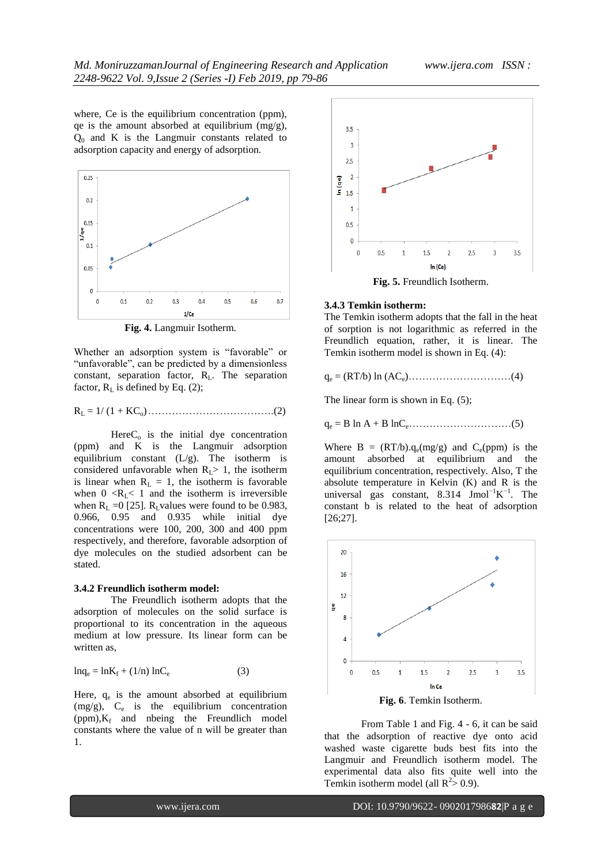where, Ce is the equilibrium concentration (ppm), qe is the amount absorbed at equilibrium  $(mg/g)$ ,  $Q_0$  and K is the Langmuir constants related to adsorption capacity and energy of adsorption.



**Fig. 4.** Langmuir Isotherm.

Whether an adsorption system is "favorable" or "unfavorable", can be predicted by a dimensionless constant, separation factor, RL. The separation factor,  $R_L$  is defined by Eq. (2);

R<sup>L</sup> = 1/ (1 + KCo)……………………………….(2)

 $HereC<sub>o</sub>$  is the initial dye concentration (ppm) and K is the Langmuir adsorption equilibrium constant  $(L/g)$ . The isotherm is considered unfavorable when  $R<sub>L</sub>$  1, the isotherm is linear when  $R_L = 1$ , the isotherm is favorable when  $0 \le R_l \le 1$  and the isotherm is irreversible when  $R_L = 0$  [25].  $R_L$ values were found to be 0.983, 0.966, 0.95 and 0.935 while initial dye concentrations were 100, 200, 300 and 400 ppm respectively, and therefore, favorable adsorption of dye molecules on the studied adsorbent can be stated.

#### **3.4.2 Freundlich isotherm model:**

The Freundlich isotherm adopts that the adsorption of molecules on the solid surface is proportional to its concentration in the aqueous medium at low pressure. Its linear form can be written as,

$$
\ln q_e = \ln K_f + (1/n) \ln C_e \tag{3}
$$

Here,  $q_e$  is the amount absorbed at equilibrium  $(mg/g)$ ,  $C_e$  is the equilibrium concentration  $(ppm), K_f$  and nbeing the Freundlich model constants where the value of n will be greater than 1.



#### **3.4.3 Temkin isotherm:**

The Temkin isotherm adopts that the fall in the heat of sorption is not logarithmic as referred in the Freundlich equation, rather, it is linear. The Temkin isotherm model is shown in Eq. (4):

q<sup>e</sup> = (RT/b) ln (ACe)…………………………(4)

The linear form is shown in Eq.  $(5)$ ;

q<sup>e</sup> = B ln A + B lnCe…………………………(5)

Where  $B = (RT/b).q_e(mg/g)$  and  $C_e(ppm)$  is the amount absorbed at equilibrium and the equilibrium concentration, respectively. Also, T the absolute temperature in Kelvin (K) and R is the universal gas constant,  $8.314$  Jmol<sup>-1</sup>K<sup>-1</sup>. The constant b is related to the heat of adsorption [26;27].



From Table 1 and Fig. 4 - 6, it can be said that the adsorption of reactive dye onto acid washed waste cigarette buds best fits into the Langmuir and Freundlich isotherm model. The experimental data also fits quite well into the Temkin isotherm model (all  $R^2 > 0.9$ ).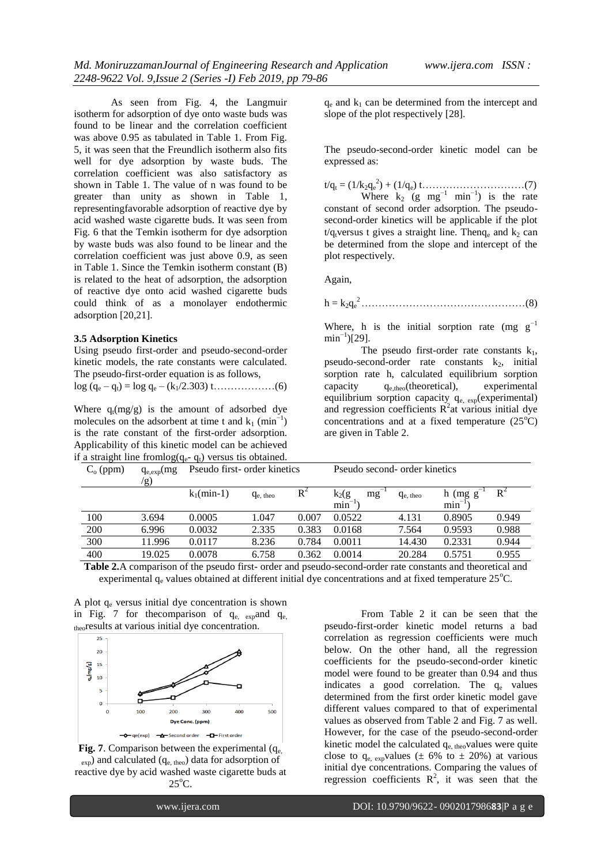As seen from Fig. 4, the Langmuir isotherm for adsorption of dye onto waste buds was found to be linear and the correlation coefficient was above 0.95 as tabulated in Table 1. From Fig. 5, it was seen that the Freundlich isotherm also fits well for dye adsorption by waste buds. The correlation coefficient was also satisfactory as shown in Table 1. The value of n was found to be greater than unity as shown in Table 1, representingfavorable adsorption of reactive dye by acid washed waste cigarette buds. It was seen from Fig. 6 that the Temkin isotherm for dye adsorption by waste buds was also found to be linear and the correlation coefficient was just above 0.9, as seen in Table 1. Since the Temkin isotherm constant (B) is related to the heat of adsorption, the adsorption of reactive dye onto acid washed cigarette buds could think of as a monolayer endothermic adsorption [20,21].

#### **3.5 Adsorption Kinetics**

Using pseudo first-order and pseudo-second-order kinetic models, the rate constants were calculated. The pseudo-first-order equation is as follows,

log (q<sup>e</sup> – qt) = log q<sup>e</sup> – (k1/2.303) t………………(6)

Where  $q_t(mg/g)$  is the amount of adsorbed dye molecules on the adsorbent at time t and  $k_1$  (min<sup>-1</sup>) is the rate constant of the first-order adsorption. Applicability of this kinetic model can be achieved if a straight line from  $log(a - a)$  versus tis obtained.

 $q_e$  and  $k_1$  can be determined from the intercept and slope of the plot respectively [28].

The pseudo-second-order kinetic model can be expressed as:

 $t/q_t = (1/k_2q_e^2) + (1/q_e) t \dots (7)$ Where  $k_2$  (g mg<sup>-1</sup> min<sup>-1</sup>) is the rate constant of second order adsorption. The pseudosecond-order kinetics will be applicable if the plot  $t/q_t$ versus t gives a straight line. Then $q_e$  and  $k_2$  can be determined from the slope and intercept of the plot respectively.

Again,

h = k2q<sup>e</sup> <sup>2</sup>…………………………………………(8)

Where, h is the initial sorption rate (mg  $g^{-1}$ )  $min^{-1}$ )[29].

The pseudo first-order rate constants  $k_1$ , pseudo-second-order rate constants  $k_2$ , initial sorption rate h, calculated equilibrium sorption capacity  $q_{e,theo}$ (theoretical), experimental equilibrium sorption capacity q<sub>e, exp</sub>(experimental) and regression coefficients  $R^2$ at various initial dye concentrations and at a fixed temperature  $(25^{\circ}C)$ are given in Table 2.

| $C_{o}$ (ppm) | $q_{e,exp}(mg)$<br>'g) | Pseudo first- order kinetics |               | Pseudo second- order kinetics |                       |               |                    |       |
|---------------|------------------------|------------------------------|---------------|-------------------------------|-----------------------|---------------|--------------------|-------|
|               |                        | $k_1$ (min-1)                | $q_{e. theo}$ | $R^2$                         | mg<br>$k_2(g)$<br>min | $q_{e, theo}$ | $h$ (mg $g$<br>min | $R^2$ |
| 100           | 3.694                  | 0.0005                       | 1.047         | 0.007                         | 0.0522                | 4.131         | 0.8905             | 0.949 |
| 200           | 6.996                  | 0.0032                       | 2.335         | 0.383                         | 0.0168                | 7.564         | 0.9593             | 0.988 |
| 300           | 11.996                 | 0.0117                       | 8.236         | 0.784                         | 0.0011                | 14.430        | 0.2331             | 0.944 |
| 400           | 19.025                 | 0.0078                       | 6.758         | 0.362                         | 0.0014                | 20.284        | 0.5751             | 0.955 |

**Table 2.**A comparison of the pseudo first- order and pseudo-second-order rate constants and theoretical and experimental  $q_e$  values obtained at different initial dye concentrations and at fixed temperature  $25^{\circ}$ C.

A plot  $q_e$  versus initial dye concentration is shown in Fig. 7 for the<br>comparison of  $q_{e, exp}$  and  $q_{e, exp}$ theoresults at various initial dye concentration.



**Fig. 7**. Comparison between the experimental  $(q_e)$  $_{\rm exp}$ ) and calculated ( $q_{\rm e, theo}$ ) data for adsorption of reactive dye by acid washed waste cigarette buds at  $25^{\circ}$ C.

From Table 2 it can be seen that the pseudo-first-order kinetic model returns a bad correlation as regression coefficients were much below. On the other hand, all the regression coefficients for the pseudo-second-order kinetic model were found to be greater than 0.94 and thus indicates a good correlation. The  $q_e$  values determined from the first order kinetic model gave different values compared to that of experimental values as observed from Table 2 and Fig. 7 as well. However, for the case of the pseudo-second-order kinetic model the calculated  $q_{e, \text{theo}}$ values were quite close to  $q_{e, exp}$ values ( $\pm 6\%$  to  $\pm 20\%$ ) at various initial dye concentrations. Comparing the values of regression coefficients  $\mathbb{R}^2$ , it was seen that the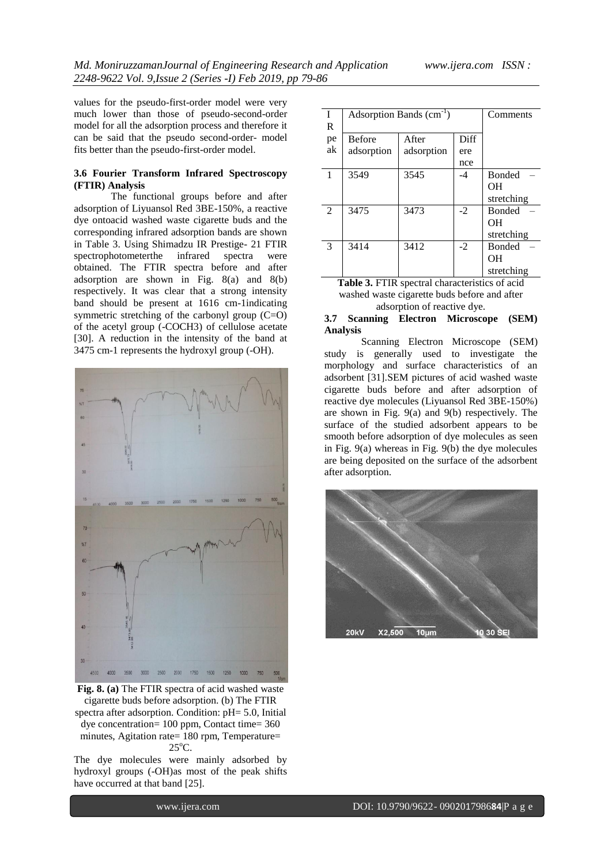values for the pseudo-first-order model were very much lower than those of pseudo-second-order model for all the adsorption process and therefore it can be said that the pseudo second-order- model fits better than the pseudo-first-order model.

## **3.6 Fourier Transform Infrared Spectroscopy (FTIR) Analysis**

The functional groups before and after adsorption of Liyuansol Red 3BE-150%, a reactive dye ontoacid washed waste cigarette buds and the corresponding infrared adsorption bands are shown in Table 3. Using Shimadzu IR Prestige- 21 FTIR spectrophotometerthe infrared spectra were obtained. The FTIR spectra before and after adsorption are shown in Fig. 8(a) and 8(b) respectively. It was clear that a strong intensity band should be present at 1616 cm-1indicating symmetric stretching of the carbonyl group (C=O) of the acetyl group (-COCH3) of cellulose acetate [30]. A reduction in the intensity of the band at 3475 cm-1 represents the hydroxyl group (-OH).



**Fig. 8. (a)** The FTIR spectra of acid washed waste cigarette buds before adsorption. (b) The FTIR spectra after adsorption. Condition: pH= 5.0, Initial dye concentration= 100 ppm, Contact time= 360 minutes, Agitation rate= 180 rpm, Temperature=  $25^{\circ}$ C.

The dye molecules were mainly adsorbed by hydroxyl groups (-OH)as most of the peak shifts have occurred at that band [25].

| I           | Adsorption Bands (cm <sup>-1</sup> ) | Comments   |      |               |
|-------------|--------------------------------------|------------|------|---------------|
| $\mathbf R$ |                                      |            |      |               |
| pe          | <b>Before</b>                        | After      | Diff |               |
| ak          | adsorption                           | adsorption | ere  |               |
|             |                                      |            | nce  |               |
| 1           | 3549                                 | 3545       | -4   | <b>Bonded</b> |
|             |                                      |            |      | OН            |
|             |                                      |            |      | stretching    |
| 2           | 3475                                 | 3473       | $-2$ | <b>Bonded</b> |
|             |                                      |            |      | OН            |
|             |                                      |            |      | stretching    |
| 3           | 3414                                 | 3412       | $-2$ | <b>Bonded</b> |
|             |                                      |            |      | OН            |
|             |                                      |            |      | stretching    |

**Table 3.** FTIR spectral characteristics of acid washed waste cigarette buds before and after adsorption of reactive dye.

## **3.7 Scanning Electron Microscope (SEM) Analysis**

Scanning Electron Microscope (SEM) study is generally used to investigate the morphology and surface characteristics of an adsorbent [31].SEM pictures of acid washed waste cigarette buds before and after adsorption of reactive dye molecules (Liyuansol Red 3BE-150%) are shown in Fig. 9(a) and 9(b) respectively. The surface of the studied adsorbent appears to be smooth before adsorption of dye molecules as seen in Fig. 9(a) whereas in Fig. 9(b) the dye molecules are being deposited on the surface of the adsorbent after adsorption.

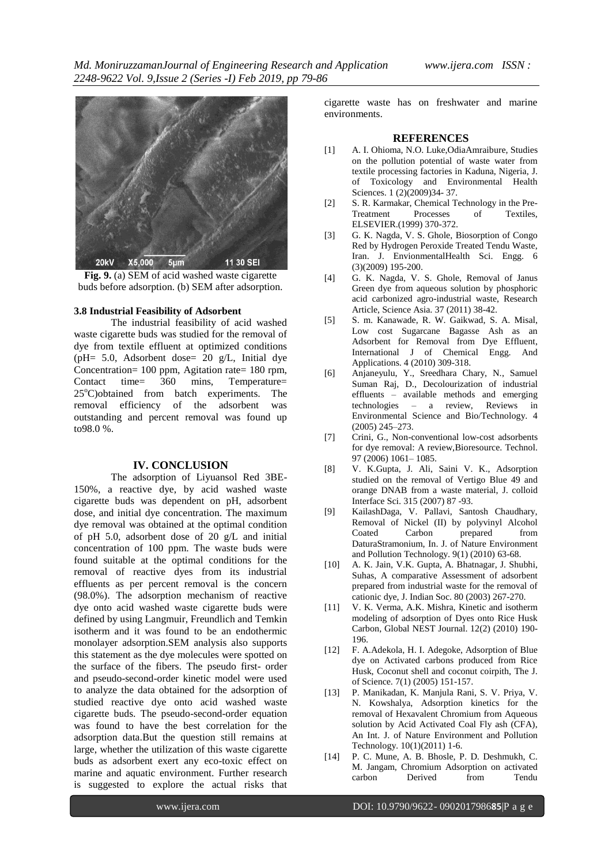*Md. MoniruzzamanJournal of Engineering Research and Application www.ijera.com ISSN : 2248-9622 Vol. 9,Issue 2 (Series -I) Feb 2019, pp 79-86*



**Fig. 9.** (a) SEM of acid washed waste cigarette buds before adsorption. (b) SEM after adsorption.

#### **3.8 Industrial Feasibility of Adsorbent**

The industrial feasibility of acid washed waste cigarette buds was studied for the removal of dye from textile effluent at optimized conditions (pH= 5.0, Adsorbent dose= 20 g/L, Initial dye Concentration= 100 ppm, Agitation rate= 180 rpm, Contact time= 360 mins, Temperature=  $25^{\circ}$ C)obtained from batch experiments. The removal efficiency of the adsorbent was outstanding and percent removal was found up to98.0 %.

## **IV. CONCLUSION**

The adsorption of Liyuansol Red 3BE-150%, a reactive dye, by acid washed waste cigarette buds was dependent on pH, adsorbent dose, and initial dye concentration. The maximum dye removal was obtained at the optimal condition of pH 5.0, adsorbent dose of 20 g/L and initial concentration of 100 ppm. The waste buds were found suitable at the optimal conditions for the removal of reactive dyes from its industrial effluents as per percent removal is the concern (98.0%). The adsorption mechanism of reactive dye onto acid washed waste cigarette buds were defined by using Langmuir, Freundlich and Temkin isotherm and it was found to be an endothermic monolayer adsorption.SEM analysis also supports this statement as the dye molecules were spotted on the surface of the fibers. The pseudo first- order and pseudo-second-order kinetic model were used to analyze the data obtained for the adsorption of studied reactive dye onto acid washed waste cigarette buds. The pseudo-second-order equation was found to have the best correlation for the adsorption data.But the question still remains at large, whether the utilization of this waste cigarette buds as adsorbent exert any eco-toxic effect on marine and aquatic environment. Further research is suggested to explore the actual risks that

cigarette waste has on freshwater and marine environments.

#### **REFERENCES**

- [1] A. I. Ohioma, N.O. Luke,OdiaAmraibure, Studies on the pollution potential of waste water from textile processing factories in Kaduna, Nigeria, J. of Toxicology and Environmental Health Sciences. 1 (2)(2009)34- 37.
- [2] S. R. Karmakar, Chemical Technology in the Pre-Treatment Processes of Textiles, ELSEVIER.(1999) 370-372.
- [3] G. K. Nagda, V. S. Ghole, Biosorption of Congo Red by Hydrogen Peroxide Treated Tendu Waste, Iran. J. EnvionmentalHealth Sci. Engg. 6 (3)(2009) 195-200.
- [4] G. K. Nagda, V. S. Ghole, Removal of Janus Green dye from aqueous solution by phosphoric acid carbonized agro-industrial waste, Research Article, Science Asia. 37 (2011) 38-42.
- [5] S. m. Kanawade, R. W. Gaikwad, S. A. Misal, Low cost Sugarcane Bagasse Ash as an Adsorbent for Removal from Dye Effluent, International J of Chemical Engg. And Applications. 4 (2010) 309-318.
- [6] Anjaneyulu, Y., Sreedhara Chary, N., Samuel Suman Raj, D., Decolourization of industrial effluents – available methods and emerging technologies – a review, Reviews in Environmental Science and Bio/Technology. 4 (2005) 245–273.
- [7] Crini, G., Non-conventional low-cost adsorbents for dye removal: A review,Bioresource. Technol. 97 (2006) 1061– 1085.
- [8] V. K.Gupta, J. Ali, Saini V. K., Adsorption studied on the removal of Vertigo Blue 49 and orange DNAB from a waste material, J. colloid Interface Sci. 315 (2007) 87 -93.
- [9] KailashDaga, V. Pallavi, Santosh Chaudhary, Removal of Nickel (II) by polyvinyl Alcohol Coated Carbon prepared from DaturaStramonium, In. J. of Nature Environment and Pollution Technology. 9(1) (2010) 63-68.
- [10] A. K. Jain, V.K. Gupta, A. Bhatnagar, J. Shubhi, Suhas, A comparative Assessment of adsorbent prepared from industrial waste for the removal of cationic dye, J. Indian Soc. 80 (2003) 267-270.
- [11] V. K. Verma, A.K. Mishra, Kinetic and isotherm modeling of adsorption of Dyes onto Rice Husk Carbon, Global NEST Journal. 12(2) (2010) 190- 196.
- [12] F. A.Adekola, H. I. Adegoke, Adsorption of Blue dye on Activated carbons produced from Rice Husk, Coconut shell and coconut coirpith, The J. of Science. 7(1) (2005) 151-157.
- [13] P. Manikadan, K. Manjula Rani, S. V. Priya, V. N. Kowshalya, Adsorption kinetics for the removal of Hexavalent Chromium from Aqueous solution by Acid Activated Coal Fly ash (CFA), An Int. J. of Nature Environment and Pollution Technology. 10(1)(2011) 1-6.
- [14] P. C. Mune, A. B. Bhosle, P. D. Deshmukh, C. M. Jangam, Chromium Adsorption on activated carbon Derived from Tendu